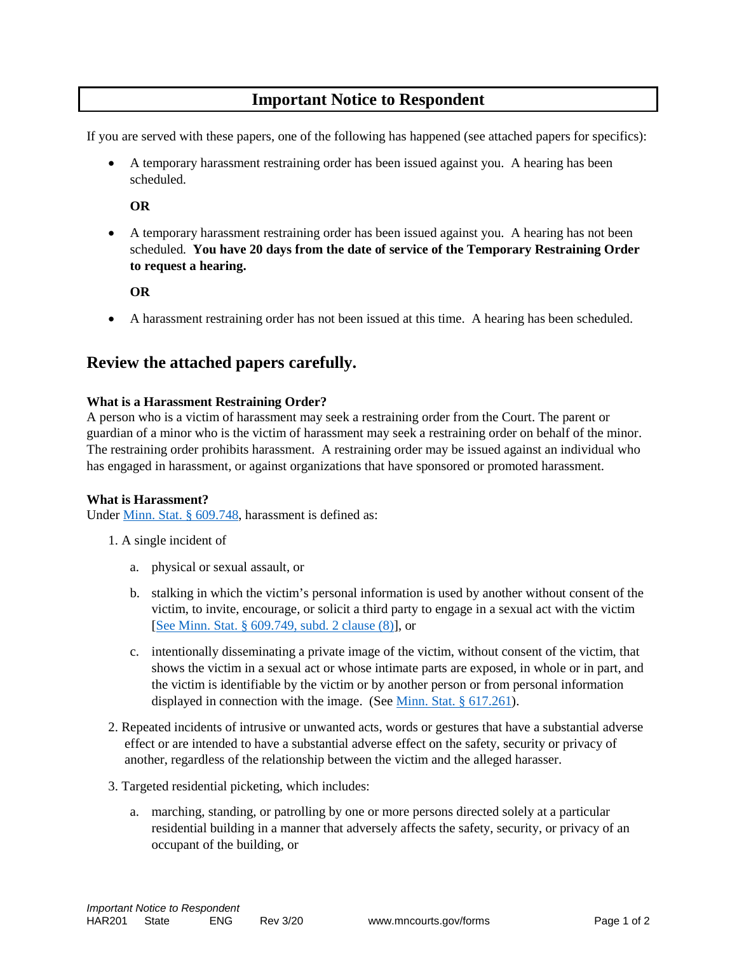# **Important Notice to Respondent**

If you are served with these papers, one of the following has happened (see attached papers for specifics):

• A temporary harassment restraining order has been issued against you. A hearing has been scheduled.

**OR**

• A temporary harassment restraining order has been issued against you. A hearing has not been scheduled. **You have 20 days from the date of service of the Temporary Restraining Order to request a hearing.**

**OR**

• A harassment restraining order has not been issued at this time. A hearing has been scheduled.

# **Review the attached papers carefully.**

#### **What is a Harassment Restraining Order?**

A person who is a victim of harassment may seek a restraining order from the Court. The parent or guardian of a minor who is the victim of harassment may seek a restraining order on behalf of the minor. The restraining order prohibits harassment. A restraining order may be issued against an individual who has engaged in harassment, or against organizations that have sponsored or promoted harassment.

#### **What is Harassment?**

Under [Minn. Stat. § 609.748,](https://www.revisor.mn.gov/statutes/?id=609.748) harassment is defined as:

- 1. A single incident of
	- a. physical or sexual assault, or
	- b. stalking in which the victim's personal information is used by another without consent of the victim, to invite, encourage, or solicit a third party to engage in a sexual act with the victim [\[See Minn. Stat. § 609.749, subd. 2 clause \(8\)\]](https://www.revisor.mn.gov/statutes/?id=609.749), or
	- c. intentionally disseminating a private image of the victim, without consent of the victim, that shows the victim in a sexual act or whose intimate parts are exposed, in whole or in part, and the victim is identifiable by the victim or by another person or from personal information displayed in connection with the image. (See [Minn. Stat. § 617.261\)](https://www.revisor.mn.gov/statutes/?id=617.261).
- 2. Repeated incidents of intrusive or unwanted acts, words or gestures that have a substantial adverse effect or are intended to have a substantial adverse effect on the safety, security or privacy of another, regardless of the relationship between the victim and the alleged harasser.
- 3. Targeted residential picketing, which includes:
	- a. marching, standing, or patrolling by one or more persons directed solely at a particular residential building in a manner that adversely affects the safety, security, or privacy of an occupant of the building, or